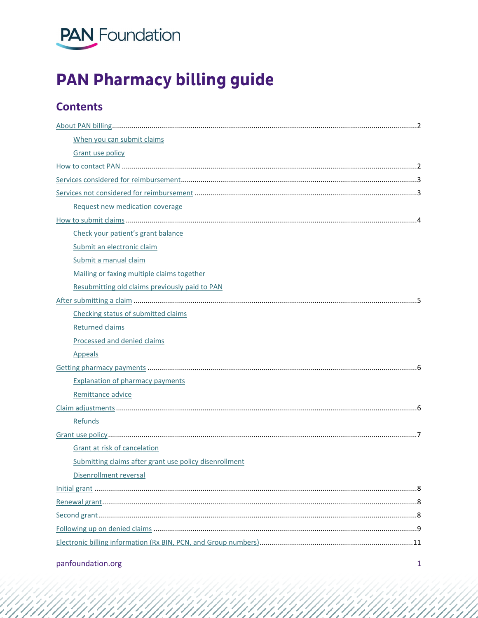

# **PAN Pharmacy billing guide**

## **Contents**

| When you can submit claims                             |  |  |
|--------------------------------------------------------|--|--|
| <b>Grant use policy</b>                                |  |  |
|                                                        |  |  |
|                                                        |  |  |
|                                                        |  |  |
| Request new medication coverage                        |  |  |
|                                                        |  |  |
| Check your patient's grant balance                     |  |  |
| Submit an electronic claim                             |  |  |
| Submit a manual claim                                  |  |  |
| Mailing or faxing multiple claims together             |  |  |
| Resubmitting old claims previously paid to PAN         |  |  |
|                                                        |  |  |
| Checking status of submitted claims                    |  |  |
| Returned claims                                        |  |  |
| Processed and denied claims                            |  |  |
| Appeals                                                |  |  |
|                                                        |  |  |
| <b>Explanation of pharmacy payments</b>                |  |  |
| Remittance advice                                      |  |  |
|                                                        |  |  |
| Refunds                                                |  |  |
|                                                        |  |  |
| Grant at risk of cancelation                           |  |  |
| Submitting claims after grant use policy disenrollment |  |  |
| Disenrollment reversal                                 |  |  |
|                                                        |  |  |
|                                                        |  |  |
|                                                        |  |  |
|                                                        |  |  |
|                                                        |  |  |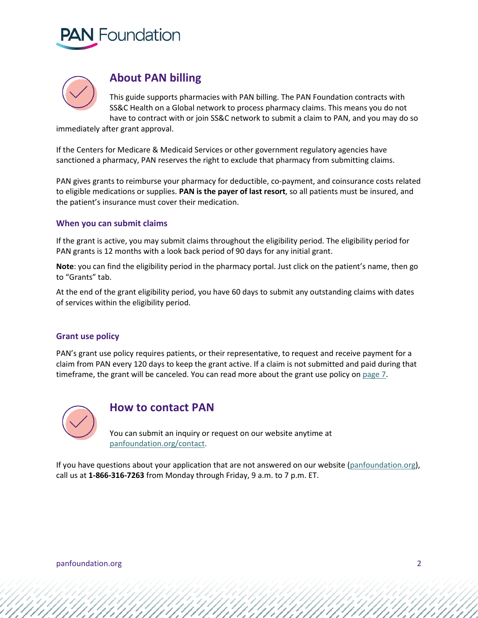



## **About PAN billing**

<span id="page-1-0"></span>This guide supports pharmacies with PAN billing. The PAN Foundation contracts with SS&C Health on a Global network to process pharmacy claims. This means you do not have to contract with or join SS&C network to submit a claim to PAN, and you may do so

immediately after grant approval.

If the Centers for Medicare & Medicaid Services or other government regulatory agencies have sanctioned a pharmacy, PAN reserves the right to exclude that pharmacy from submitting claims.

PAN gives grants to reimburse your pharmacy for deductible, co-payment, and coinsurance costs related to eligible medications or supplies. **PAN is the payer of last resort**, so all patients must be insured, and the patient's insurance must cover their medication.

#### <span id="page-1-1"></span>**When you can submit claims**

If the grant is active, you may submit claims throughout the eligibility period. The eligibility period for PAN grants is 12 months with a look back period of 90 days for any initial grant.

**Note**: you can find the eligibility period in the pharmacy portal. Just click on the patient's name, then go to "Grants" tab.

At the end of the grant eligibility period, you have 60 days to submit any outstanding claims with dates of services within the eligibility period.

#### <span id="page-1-2"></span>**Grant use policy**

PAN's grant use policy requires patients, or their representative, to request and receive payment for a claim from PAN every 120 days to keep the grant active. If a claim is not submitted and paid during that timeframe, the grant will be canceled. You can read more about the grant use policy on [page 7](#page-6-1).



### <span id="page-1-3"></span>**How to contact PAN**

You can submit an inquiry or request on our website anytime at [panfoundation.org/contact.](http://www.panfoundation.org/contact/)

If you have questions about your application that are not answered on our website [\(panfoundation.org\)](http://www.panfoundation.org/), call us at **1-866-316-7263** from Monday through Friday, 9 a.m. to 7 p.m. ET.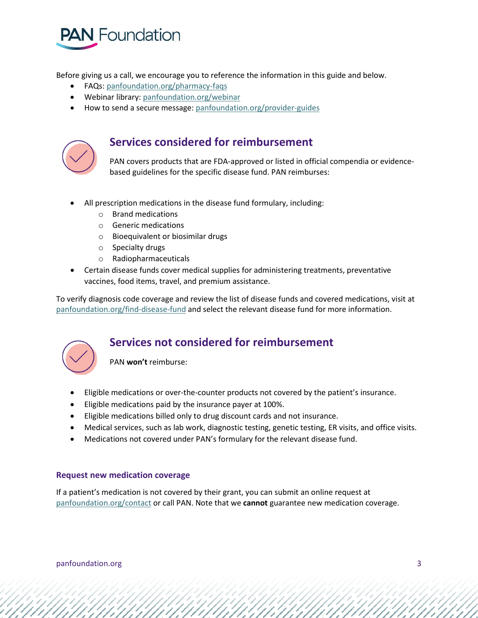

Before giving us a call, we encourage you to reference the information in this guide and below.

- FAQs[: panfoundation.org/pharmacy-faqs](http://www.panfoundation.org/pharmacy-faqs)
- Webinar library: [panfoundation.org/webinar](https://www.panfoundation.org/webinar/)
- How to send a secure message: [panfoundation.org/provider-guides](http://www.panfoundation.org/provider-guides)



## <span id="page-2-0"></span>**Services considered for reimbursement**

PAN covers products that are FDA-approved or listed in official compendia or evidencebased guidelines for the specific disease fund. PAN reimburses:

- All prescription medications in the disease fund formulary, including:
	- o Brand medications
	- o Generic medications
	- o Bioequivalent or biosimilar drugs
	- o Specialty drugs
	- o Radiopharmaceuticals
- Certain disease funds cover medical supplies for administering treatments, preventative vaccines, food items, travel, and premium assistance.

To verify diagnosis code coverage and review the list of disease funds and covered medications, visit at panfoundation.org/find-disease-fund and select the relevant disease fund for more information.



## <span id="page-2-1"></span>**Services not considered for reimbursement**

PAN **won't** reimburse:

- Eligible medications or over-the-counter products not covered by the patient's insurance.
- Eligible medications paid by the insurance payer at 100%.
- Eligible medications billed only to drug discount cards and not insurance.
- Medical services, such as lab work, diagnostic testing, genetic testing, ER visits, and office visits.
- Medications not covered under PAN's formulary for the relevant disease fund.

#### <span id="page-2-2"></span>**Request new medication coverage**

If a patient's medication is not covered by their grant, you can submit an online request at [panfoundation.org/contact](http://www.panfoundation.org/contact/) or call PAN. Note that we **cannot** guarantee new medication coverage.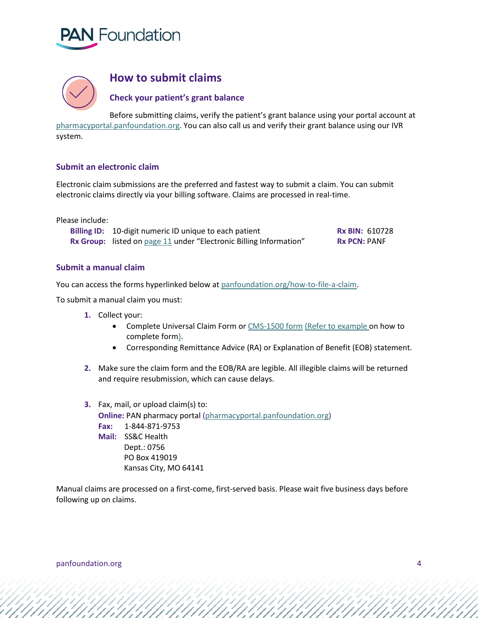



## **How to submit claims**

<span id="page-3-0"></span>**Check your patient's grant balance**

Before submitting claims, verify the patient's grant balance using your portal account at [pharmacyportal.panfoundation.org.](http://www.pharmacyportal.panfoundation.org/) You can also call us and verify their grant balance using our IVR system.

#### <span id="page-3-1"></span>**Submit an electronic claim**

Electronic claim submissions are the preferred and fastest way to submit a claim. You can submit electronic claims directly via your billing software. Claims are processed in real-time.

Please include:

| Billing ID: 10-digit numeric ID unique to each patient             | <b>Rx BIN: 610728</b> |
|--------------------------------------------------------------------|-----------------------|
| Rx Group: listed on page 11 under "Electronic Billing Information" | <b>Rx PCN: PANF</b>   |

#### <span id="page-3-2"></span>**Submit a manual claim**

You can access the forms hyperlinked below at [panfoundation.org/how-to-file-a-claim.](https://www.panfoundation.org/how-to-file-a-claim/)

To submit a manual claim you must:

- **1.** Collect your:
	- Complete Universal Claim Form o[r CMS-1500 form](https://www.panfoundation.org/app/uploads/2020/02/CMS1500.pdf) [\(Refer to example o](https://www.panfoundation.org/app/uploads/2020/05/CMS1500-Example.pdf)n how to complete form).
	- Corresponding Remittance Advice (RA) or Explanation of Benefit (EOB) statement.
- **2.** Make sure the claim form and the EOB/RA are legible. All illegible claims will be returned and require resubmission, which can cause delays.
- **3.** Fax, mail, or upload claim(s) to: **Online: PAN pharmacy portal [\(pharmacyportal.panfoundation.org\)](https://pharmacyportal.panfoundation.org/) Fax:** 1-844-871-9753 **Mail:** SS&C Health Dept.: 0756 PO Box 419019 Kansas City, MO 64141

<span id="page-3-3"></span>Manual claims are processed on a first-come, first-served basis. Please wait five business days before following up on claims.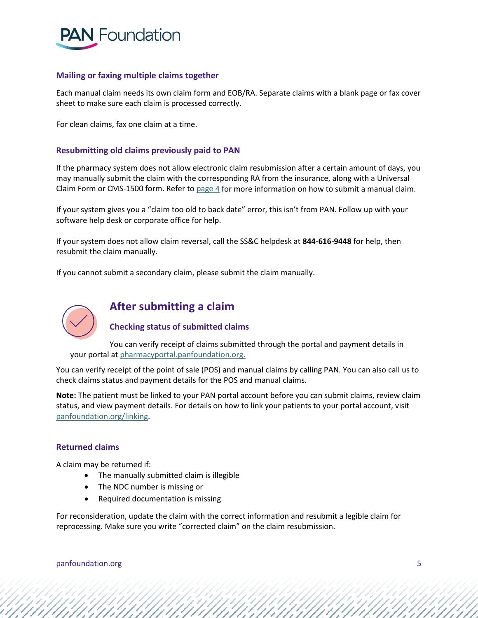

#### **Mailing or faxing multiple claims together**

Each manual claim needs its own claim form and EOB/RA. Separate claims with a blank page or fax cover sheet to make sure each claim is processed correctly.

For clean claims, fax one claim at a time.

#### <span id="page-4-0"></span>**Resubmitting old claims previously paid to PAN**

If the pharmacy system does not allow electronic claim resubmission after a certain amount of days, you may manually submit the claim with the corresponding RA from the insurance, along with a Universal Claim Form or CMS-1500 form. Refer t[o page](#page-3-2) 4 for more information on how to submit a manual claim.

If your system gives you a "claim too old to back date" error, this isn't from PAN. Follow up with your software help desk or corporate office for help.

If your system does not allow claim reversal, call the SS&C helpdesk at **844-616-9448** for help, then resubmit the claim manually.

If you cannot submit a secondary claim, please submit the claim manually.



## <span id="page-4-1"></span>**After submitting a claim**

#### <span id="page-4-2"></span>**Checking status of submitted claims**

You can verify receipt of claims submitted through the portal and payment details in your portal a[t pharmacyportal.panfoundation.org.](http://www.pharmacyportal.panfoundation.org./) 

You can verify receipt of the point of sale (POS) and manual claims by calling PAN. You can also call us to check claims status and payment details for the POS and manual claims.

**Note:** The patient must be linked to your PAN portal account before you can submit claims, review claim status, and view payment details. For details on how to link your patients to your portal account, visit [panfoundation.org/linking.](https://panfoundation-my.sharepoint.com/personal/mgault_panfoundation_org/Documents/Branding%20+%20Design/External%20Dept.%20Brand%20Review/Medical%20Affairs/Billing%20guides/www.panfoundation.org/linking)

#### **Returned claims**

A claim may be returned if:

- <span id="page-4-3"></span>• The manually submitted claim is illegible
- The NDC number is missing or
- Required documentation is missing

For reconsideration, update the claim with the correct information and resubmit a legible claim for reprocessing. Make sure you write "corrected claim" on the claim resubmission.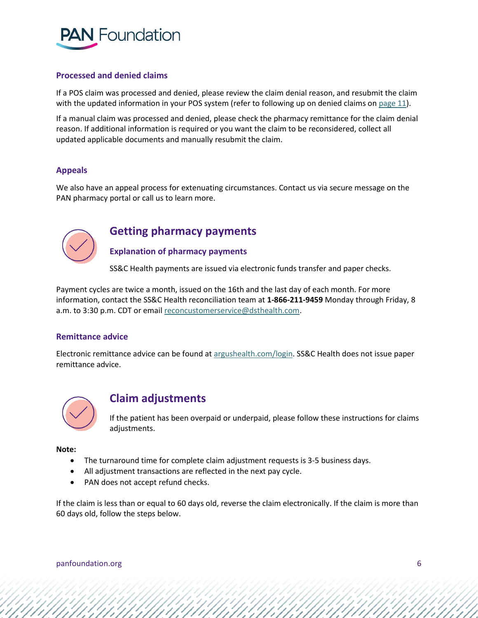

#### <span id="page-5-0"></span>**Processed and denied claims**

If a POS claim was processed and denied, please review the claim denial reason, and resubmit the claim with the updated information in your POS system (refer to following up on denied claims on [page 11\)](#page-8-0).

If a manual claim was processed and denied, please check the pharmacy remittance for the claim denial reason. If additional information is required or you want the claim to be reconsidered, collect all updated applicable documents and manually resubmit the claim.

#### <span id="page-5-1"></span>**Appeals**

We also have an appeal process for extenuating circumstances. Contact us via secure message on the PAN pharmacy portal or call us to learn more.



## <span id="page-5-2"></span>**Getting pharmacy payments**

<span id="page-5-3"></span>**Explanation of pharmacy payments**

SS&C Health payments are issued via electronic funds transfer and paper checks.

Payment cycles are twice a month, issued on the 16th and the last day of each month. For more information, contact the SS&C Health reconciliation team at **1-866-211-9459** Monday through Friday, 8 a.m. to 3:30 p.m. CDT or emai[l reconcustomerservice@dsthealth.com.](mailto:reconcustomerservice@dsthealth.com)

#### <span id="page-5-4"></span>**Remittance advice**

Electronic remittance advice can be found at [argushealth.com/login.](http://www.argushealth.com/login/) SS&C Health does not issue paper remittance advice.



## **Claim adjustments**

<span id="page-5-5"></span>If the patient has been overpaid or underpaid, please follow these instructions for claims adjustments.

**Note:** 

- The turnaround time for complete claim adjustment requests is 3-5 business days.
- All adjustment transactions are reflected in the next pay cycle.
- PAN does not accept refund checks.

If the claim is less than or equal to 60 days old, reverse the claim electronically. If the claim is more than 60 days old, follow the steps below.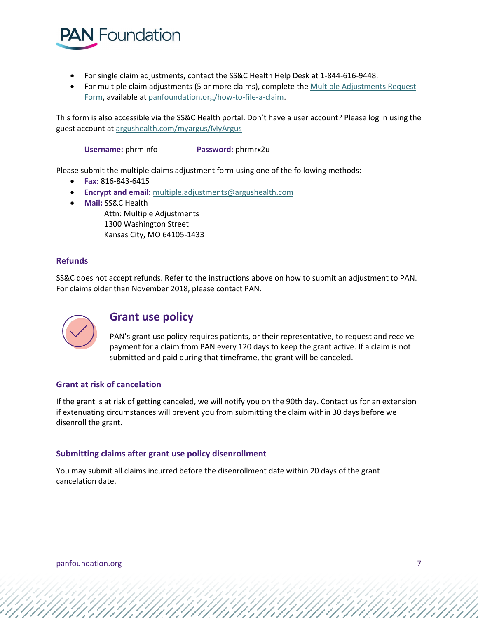

- For single claim adjustments, contact the SS&C Health Help Desk at 1-844-616-9448.
- For multiple claim adjustments (5 or more claims), complete th[e Multiple Adjustments Request](https://www.panfoundation.org/app/uploads/2020/02/DST_Multiple_Claims_Adjustments_Request_Form.pdf)  [Form,](https://www.panfoundation.org/app/uploads/2020/02/DST_Multiple_Claims_Adjustments_Request_Form.pdf) available at [panfoundation.org/how-to-file-a-claim.](https://www.panfoundation.org/how-to-file-a-claim/)

This form is also accessible via the SS&C Health portal. Don't have a user account? Please log in using the guest account a[t argushealth.com/myargus/MyArgus](http://www.argushealth.com/myargus/MyArgus) 

**Username:** phrminfo **Password:** phrmrx2u

Please submit the multiple claims adjustment form using one of the following methods:

- **Fax:** 816-843-6415
- **Encrypt and email:** [multiple.adjustments@argushealth.com](mailto:multiple.adjustments@argushealth.com)
- **Mail:** SS&C Health

Attn: Multiple Adjustments 1300 Washington Street Kansas City, MO 64105-1433

#### <span id="page-6-0"></span>**Refunds**

SS&C does not accept refunds. Refer to the instructions above on how to submit an adjustment to PAN. For claims older than November 2018, please contact PAN.



## **Grant use policy**

<span id="page-6-1"></span>PAN's grant use policy requires patients, or their representative, to request and receive payment for a claim from PAN every 120 days to keep the grant active. If a claim is not submitted and paid during that timeframe, the grant will be canceled.

#### <span id="page-6-2"></span>**Grant at risk of cancelation**

If the grant is at risk of getting canceled, we will notify you on the 90th day. Contact us for an extension if extenuating circumstances will prevent you from submitting the claim within 30 days before we disenroll the grant.

#### <span id="page-6-3"></span>**Submitting claims after grant use policy disenrollment**

<span id="page-6-4"></span>You may submit all claims incurred before the disenrollment date within 20 days of the grant cancelation date.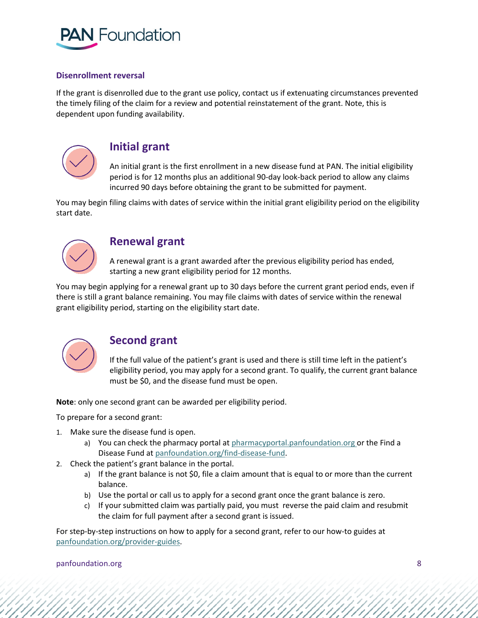

#### **Disenrollment reversal**

If the grant is disenrolled due to the grant use policy, contact us if extenuating circumstances prevented the timely filing of the claim for a review and potential reinstatement of the grant. Note, this is dependent upon funding availability.



### <span id="page-7-0"></span>**Initial grant**

An initial grant is the first enrollment in a new disease fund at PAN. The initial eligibility period is for 12 months plus an additional 90-day look-back period to allow any claims incurred 90 days before obtaining the grant to be submitted for payment.

You may begin filing claims with dates of service within the initial grant eligibility period on the eligibility start date.



## <span id="page-7-1"></span>**Renewal grant**

A renewal grant is a grant awarded after the previous eligibility period has ended, starting a new grant eligibility period for 12 months.

You may begin applying for a renewal grant up to 30 days before the current grant period ends, even if there is still a grant balance remaining. You may file claims with dates of service within the renewal grant eligibility period, starting on the eligibility start date.



## **Second grant**

<span id="page-7-2"></span>If the full value of the patient's grant is used and there is still time left in the patient's eligibility period, you may apply for a second grant. To qualify, the current grant balance must be \$0, and the disease fund must be open.

**Note**: only one second grant can be awarded per eligibility period.

To prepare for a second grant:

- 1. Make sure the disease fund is open.
	- a) You can check the pharmacy portal a[t pharmacyportal.panfoundation.org](http://www.pharmacyportal.panfoundation.org/) or the Find a Disease Fund at [panfoundation.org/find-disease-fund.](https://www.panfoundation.org/find-disease-fund/)
- 2. Check the patient's grant balance in the portal.
	- a) If the grant balance is not \$0, file a claim amount that is equal to or more than the current balance.
	- b) Use the portal or call us to apply for a second grant once the grant balance is zero.
	- c) If your submitted claim was partially paid, you must reverse the paid claim and resubmit the claim for full payment after a second grant is issued.

For step-by-step instructions on how to apply for a second grant, refer to our how-to guides at panfoundation.org/provider-guides.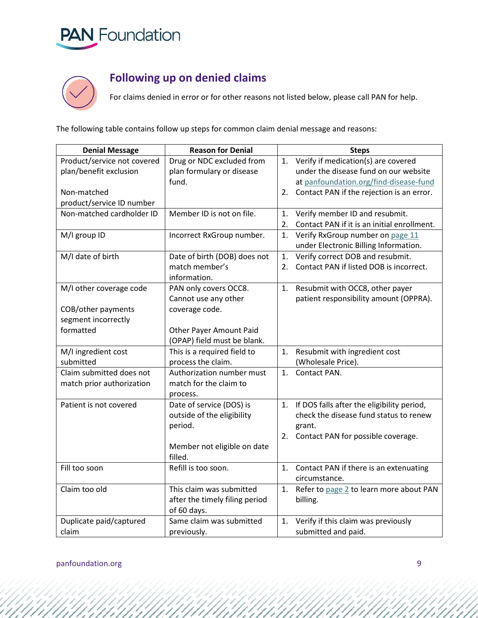



## **Following up on denied claims**

<span id="page-8-0"></span>For claims denied in error or for other reasons not listed below, please call PAN for help.

The following table contains follow up steps for common claim denial message and reasons:

| <b>Denial Message</b>       | <b>Reason for Denial</b>       |    | <b>Steps</b>                                |
|-----------------------------|--------------------------------|----|---------------------------------------------|
| Product/service not covered | Drug or NDC excluded from      | 1. | Verify if medication(s) are covered         |
| plan/benefit exclusion      | plan formulary or disease      |    | under the disease fund on our website       |
|                             | fund.                          |    | at panfoundation.org/find-disease-fund      |
| Non-matched                 |                                | 2. | Contact PAN if the rejection is an error.   |
| product/service ID number   |                                |    |                                             |
| Non-matched cardholder ID   | Member ID is not on file.      | 1. | Verify member ID and resubmit.              |
|                             |                                | 2. | Contact PAN if it is an initial enrollment. |
| M/I group ID                | Incorrect RxGroup number.      | 1. | Verify RxGroup number on page 11            |
|                             |                                |    | under Electronic Billing Information.       |
| M/I date of birth           | Date of birth (DOB) does not   | 1. | Verify correct DOB and resubmit.            |
|                             | match member's                 | 2. | Contact PAN if listed DOB is incorrect.     |
|                             | information.                   |    |                                             |
| M/I other coverage code     | PAN only covers OCC8.          | 1. | Resubmit with OCC8, other payer             |
|                             | Cannot use any other           |    | patient responsibility amount (OPPRA).      |
| COB/other payments          | coverage code.                 |    |                                             |
| segment incorrectly         |                                |    |                                             |
| formatted                   | Other Payer Amount Paid        |    |                                             |
|                             | (OPAP) field must be blank.    |    |                                             |
| M/I ingredient cost         | This is a required field to    | 1. | Resubmit with ingredient cost               |
| submitted                   | process the claim.             |    | (Wholesale Price).                          |
| Claim submitted does not    | Authorization number must      | 1. | Contact PAN.                                |
| match prior authorization   | match for the claim to         |    |                                             |
|                             | process.                       |    |                                             |
| Patient is not covered      | Date of service (DOS) is       | 1. | If DOS falls after the eligibility period,  |
|                             | outside of the eligibility     |    | check the disease fund status to renew      |
|                             | period.                        |    | grant.                                      |
|                             |                                | 2. | Contact PAN for possible coverage.          |
|                             | Member not eligible on date    |    |                                             |
|                             | filled.                        |    |                                             |
| Fill too soon               | Refill is too soon.            | 1. | Contact PAN if there is an extenuating      |
|                             |                                |    | circumstance.                               |
| Claim too old               | This claim was submitted       | 1. | Refer to page 2 to learn more about PAN     |
|                             | after the timely filing period |    | billing.                                    |
|                             | of 60 days.                    |    |                                             |
| Duplicate paid/captured     | Same claim was submitted       | 1. | Verify if this claim was previously         |
| claim                       | previously.                    |    | submitted and paid.                         |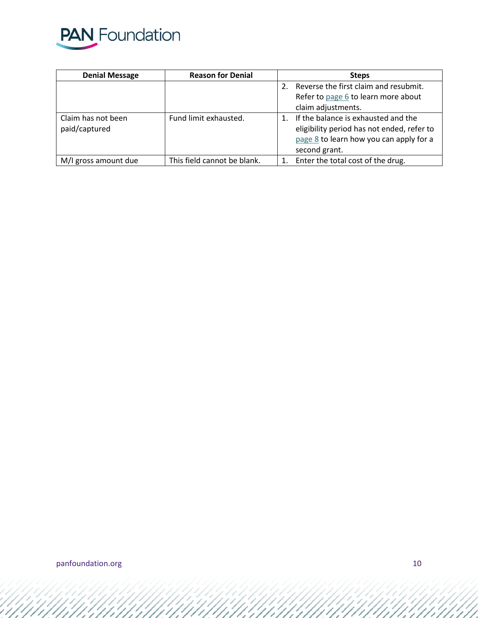

| <b>Denial Message</b> | <b>Reason for Denial</b>    | <b>Steps</b> |                                            |
|-----------------------|-----------------------------|--------------|--------------------------------------------|
|                       |                             | 2.           | Reverse the first claim and resubmit.      |
|                       |                             |              | Refer to page 6 to learn more about        |
|                       |                             |              | claim adjustments.                         |
| Claim has not been    | Fund limit exhausted.       |              | If the balance is exhausted and the        |
| paid/captured         |                             |              | eligibility period has not ended, refer to |
|                       |                             |              | page 8 to learn how you can apply for a    |
|                       |                             |              | second grant.                              |
| M/I gross amount due  | This field cannot be blank. |              | Enter the total cost of the drug.          |